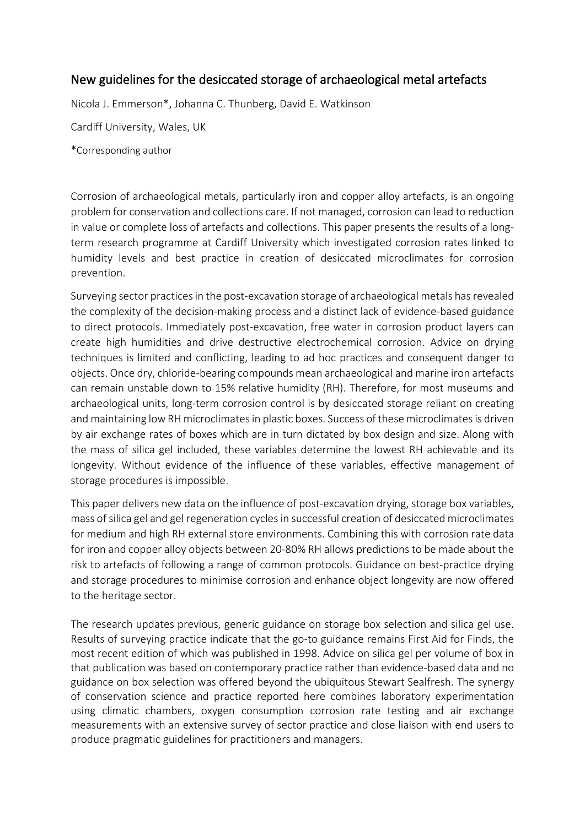## New guidelines for the desiccated storage of archaeological metal artefacts

Nicola J. Emmerson\*, Johanna C. Thunberg, David E. Watkinson

Cardiff University, Wales, UK

\*Corresponding author

Corrosion of archaeological metals, particularly iron and copper alloy artefacts, is an ongoing problem for conservation and collections care. If not managed, corrosion can lead to reduction in value or complete loss of artefacts and collections. This paper presents the results of a longterm research programme at Cardiff University which investigated corrosion rates linked to humidity levels and best practice in creation of desiccated microclimates for corrosion prevention.

Surveying sector practicesin the post-excavation storage of archaeological metals has revealed the complexity of the decision-making process and a distinct lack of evidence-based guidance to direct protocols. Immediately post-excavation, free water in corrosion product layers can create high humidities and drive destructive electrochemical corrosion. Advice on drying techniques is limited and conflicting, leading to ad hoc practices and consequent danger to objects. Once dry, chloride-bearing compounds mean archaeological and marine iron artefacts can remain unstable down to 15% relative humidity (RH). Therefore, for most museums and archaeological units, long-term corrosion control is by desiccated storage reliant on creating and maintaining low RH microclimates in plastic boxes. Success of these microclimates is driven by air exchange rates of boxes which are in turn dictated by box design and size. Along with the mass of silica gel included, these variables determine the lowest RH achievable and its longevity. Without evidence of the influence of these variables, effective management of storage procedures is impossible.

This paper delivers new data on the influence of post-excavation drying, storage box variables, mass of silica gel and gel regeneration cycles in successful creation of desiccated microclimates for medium and high RH external store environments. Combining this with corrosion rate data for iron and copper alloy objects between 20-80% RH allows predictions to be made about the risk to artefacts of following a range of common protocols. Guidance on best-practice drying and storage procedures to minimise corrosion and enhance object longevity are now offered to the heritage sector.

The research updates previous, generic guidance on storage box selection and silica gel use. Results of surveying practice indicate that the go-to guidance remains First Aid for Finds, the most recent edition of which was published in 1998. Advice on silica gel per volume of box in that publication was based on contemporary practice rather than evidence-based data and no guidance on box selection was offered beyond the ubiquitous Stewart Sealfresh. The synergy of conservation science and practice reported here combines laboratory experimentation using climatic chambers, oxygen consumption corrosion rate testing and air exchange measurements with an extensive survey of sector practice and close liaison with end users to produce pragmatic guidelines for practitioners and managers.